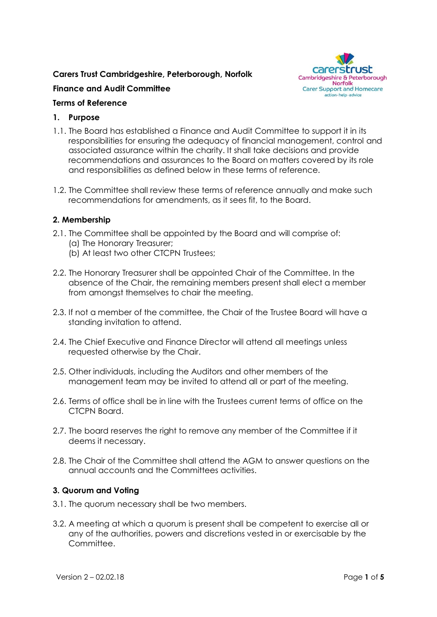# **Carers Trust Cambridgeshire, Peterborough, Norfolk**



## **Finance and Audit Committee**

## **Terms of Reference**

#### **1. Purpose**

- 1.1. The Board has established a Finance and Audit Committee to support it in its responsibilities for ensuring the adequacy of financial management, control and associated assurance within the charity. It shall take decisions and provide recommendations and assurances to the Board on matters covered by its role and responsibilities as defined below in these terms of reference.
- 1.2. The Committee shall review these terms of reference annually and make such recommendations for amendments, as it sees fit, to the Board.

#### **2. Membership**

- 2.1. The Committee shall be appointed by the Board and will comprise of:
	- (a) The Honorary Treasurer;
	- (b) At least two other CTCPN Trustees;
- 2.2. The Honorary Treasurer shall be appointed Chair of the Committee. In the absence of the Chair, the remaining members present shall elect a member from amongst themselves to chair the meeting.
- 2.3. If not a member of the committee, the Chair of the Trustee Board will have a standing invitation to attend.
- 2.4. The Chief Executive and Finance Director will attend all meetings unless requested otherwise by the Chair.
- 2.5. Other individuals, including the Auditors and other members of the management team may be invited to attend all or part of the meeting.
- 2.6. Terms of office shall be in line with the Trustees current terms of office on the CTCPN Board.
- 2.7. The board reserves the right to remove any member of the Committee if it deems it necessary.
- 2.8. The Chair of the Committee shall attend the AGM to answer questions on the annual accounts and the Committees activities.

#### **3. Quorum and Voting**

- 3.1. The quorum necessary shall be two members.
- 3.2. A meeting at which a quorum is present shall be competent to exercise all or any of the authorities, powers and discretions vested in or exercisable by the Committee.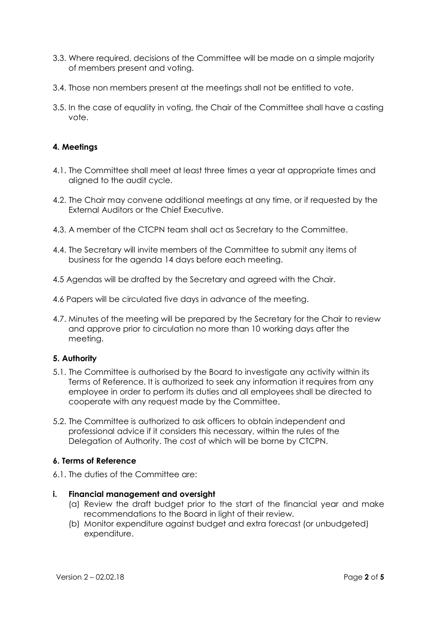- 3.3. Where required, decisions of the Committee will be made on a simple majority of members present and voting.
- 3.4. Those non members present at the meetings shall not be entitled to vote.
- 3.5. In the case of equality in voting, the Chair of the Committee shall have a casting vote.

## **4. Meetings**

- 4.1. The Committee shall meet at least three times a year at appropriate times and aligned to the audit cycle.
- 4.2. The Chair may convene additional meetings at any time, or if requested by the External Auditors or the Chief Executive.
- 4.3. A member of the CTCPN team shall act as Secretary to the Committee.
- 4.4. The Secretary will invite members of the Committee to submit any items of business for the agenda 14 days before each meeting.
- 4.5 Agendas will be drafted by the Secretary and agreed with the Chair.
- 4.6 Papers will be circulated five days in advance of the meeting.
- 4.7. Minutes of the meeting will be prepared by the Secretary for the Chair to review and approve prior to circulation no more than 10 working days after the meeting.

#### **5. Authority**

- 5.1. The Committee is authorised by the Board to investigate any activity within its Terms of Reference. It is authorized to seek any information it requires from any employee in order to perform its duties and all employees shall be directed to cooperate with any request made by the Committee.
- 5.2. The Committee is authorized to ask officers to obtain independent and professional advice if it considers this necessary, within the rules of the Delegation of Authority. The cost of which will be borne by CTCPN.

#### **6. Terms of Reference**

6.1. The duties of the Committee are:

#### **i. Financial management and oversight**

- (a) Review the draft budget prior to the start of the financial year and make recommendations to the Board in light of their review.
- (b) Monitor expenditure against budget and extra forecast (or unbudgeted) expenditure.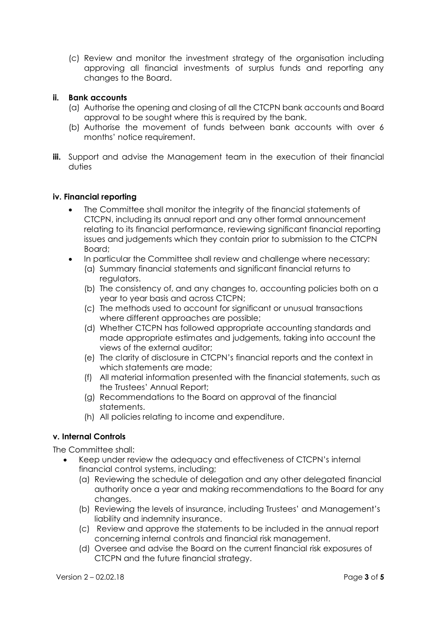(c) Review and monitor the investment strategy of the organisation including approving all financial investments of surplus funds and reporting any changes to the Board.

#### **ii. Bank accounts**

- (a) Authorise the opening and closing of all the CTCPN bank accounts and Board approval to be sought where this is required by the bank.
- (b) Authorise the movement of funds between bank accounts with over 6 months' notice requirement.
- **iii.** Support and advise the Management team in the execution of their financial duties

#### **iv. Financial reporting**

- The Committee shall monitor the integrity of the financial statements of CTCPN, including its annual report and any other formal announcement relating to its financial performance, reviewing significant financial reporting issues and judgements which they contain prior to submission to the CTCPN Board;
- In particular the Committee shall review and challenge where necessary:
	- (a) Summary financial statements and significant financial returns to regulators.
	- (b) The consistency of, and any changes to, accounting policies both on a year to year basis and across CTCPN;
	- (c) The methods used to account for significant or unusual transactions where different approaches are possible;
	- (d) Whether CTCPN has followed appropriate accounting standards and made appropriate estimates and judgements, taking into account the views of the external auditor;
	- (e) The clarity of disclosure in CTCPN's financial reports and the context in which statements are made;
	- (f) All material information presented with the financial statements, such as the Trustees' Annual Report;
	- (g) Recommendations to the Board on approval of the financial statements.
	- (h) All policies relating to income and expenditure.

## **v. Internal Controls**

The Committee shall:

- Keep under review the adequacy and effectiveness of CTCPN's internal financial control systems, including;
	- (a) Reviewing the schedule of delegation and any other delegated financial authority once a year and making recommendations to the Board for any changes.
	- (b) Reviewing the levels of insurance, including Trustees' and Management's liability and indemnity insurance.
	- (c) Review and approve the statements to be included in the annual report concerning internal controls and financial risk management.
	- (d) Oversee and advise the Board on the current financial risk exposures of CTCPN and the future financial strategy.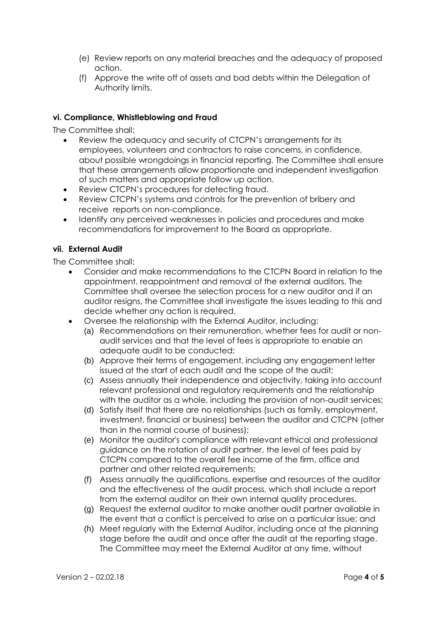- (e) Review reports on any material breaches and the adequacy of proposed action.
- (f) Approve the write off of assets and bad debts within the Delegation of Authority limits.

## **vi. Compliance, Whistleblowing and Fraud**

The Committee shall:

- Review the adequacy and security of CTCPN's arrangements for its employees, volunteers and contractors to raise concerns, in confidence, about possible wrongdoings in financial reporting. The Committee shall ensure that these arrangements allow proportionate and independent investigation of such matters and appropriate follow up action.
- Review CTCPN's procedures for detecting fraud.
- Review CTCPN's systems and controls for the prevention of bribery and receive reports on non-compliance.
- Identify any perceived weaknesses in policies and procedures and make recommendations for improvement to the Board as appropriate.

#### **vii. External Audit**

The Committee shall:

- Consider and make recommendations to the CTCPN Board in relation to the appointment, reappointment and removal of the external auditors. The Committee shall oversee the selection process for a new auditor and if an auditor resigns, the Committee shall investigate the issues leading to this and decide whether any action is required.
- Oversee the relationship with the External Auditor, including:
	- (a) Recommendations on their remuneration, whether fees for audit or nonaudit services and that the level of fees is appropriate to enable an adequate audit to be conducted;
	- (b) Approve their terms of engagement, including any engagement letter issued at the start of each audit and the scope of the audit;
	- (c) Assess annually their independence and objectivity, taking into account relevant professional and regulatory requirements and the relationship with the auditor as a whole, including the provision of non-audit services;
	- (d) Satisfy itself that there are no relationships (such as family, employment, investment, financial or business) between the auditor and CTCPN (other than in the normal course of business);
	- (e) Monitor the auditor's compliance with relevant ethical and professional guidance on the rotation of audit partner, the level of fees paid by CTCPN compared to the overall fee income of the firm, office and partner and other related requirements;
	- (f) Assess annually the qualifications, expertise and resources of the auditor and the effectiveness of the audit process, which shall include a report from the external auditor on their own internal quality procedures.
	- (g) Request the external auditor to make another audit partner available in the event that a conflict is perceived to arise on a particular issue; and
	- (h) Meet regularly with the External Auditor, including once at the planning stage before the audit and once after the audit at the reporting stage. The Committee may meet the External Auditor at any time, without